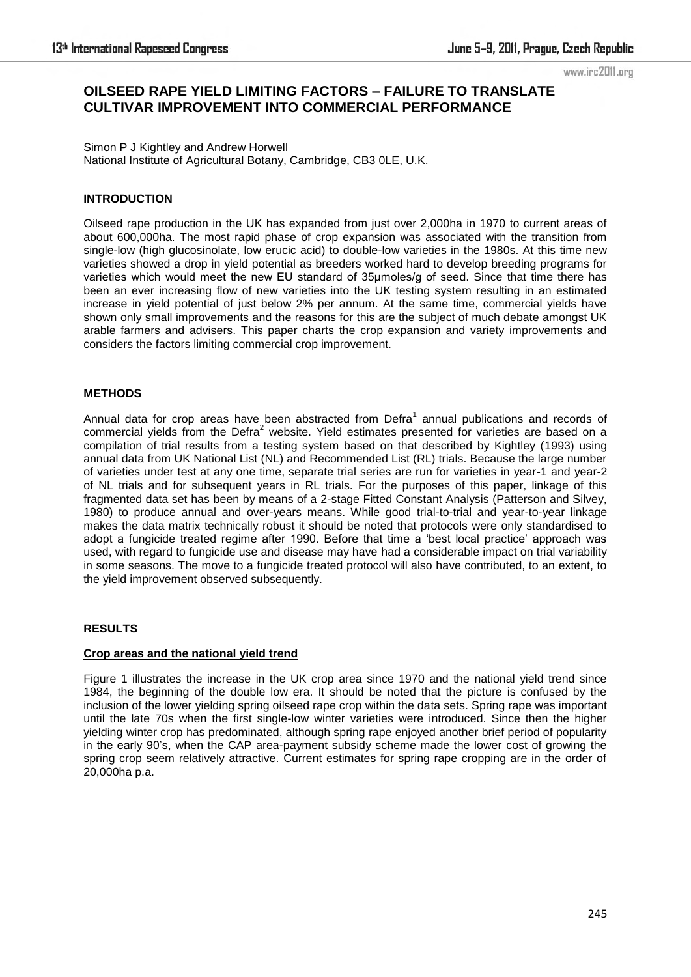#### www.irc2011.org

# **OILSEED RAPE YIELD LIMITING FACTORS – FAILURE TO TRANSLATE CULTIVAR IMPROVEMENT INTO COMMERCIAL PERFORMANCE**

Simon P J Kightley and Andrew Horwell National Institute of Agricultural Botany, Cambridge, CB3 0LE, U.K.

## **INTRODUCTION**

Oilseed rape production in the UK has expanded from just over 2,000ha in 1970 to current areas of about 600,000ha. The most rapid phase of crop expansion was associated with the transition from single-low (high glucosinolate, low erucic acid) to double-low varieties in the 1980s. At this time new varieties showed a drop in yield potential as breeders worked hard to develop breeding programs for varieties which would meet the new EU standard of 35µmoles/g of seed. Since that time there has been an ever increasing flow of new varieties into the UK testing system resulting in an estimated increase in yield potential of just below 2% per annum. At the same time, commercial yields have shown only small improvements and the reasons for this are the subject of much debate amongst UK arable farmers and advisers. This paper charts the crop expansion and variety improvements and considers the factors limiting commercial crop improvement.

#### **METHODS**

Annual data for crop areas have been abstracted from Defra<sup>1</sup> annual publications and records of commercial yields from the Defra<sup>2</sup> website. Yield estimates presented for varieties are based on a compilation of trial results from a testing system based on that described by Kightley (1993) using annual data from UK National List (NL) and Recommended List (RL) trials. Because the large number of varieties under test at any one time, separate trial series are run for varieties in year-1 and year-2 of NL trials and for subsequent years in RL trials. For the purposes of this paper, linkage of this fragmented data set has been by means of a 2-stage Fitted Constant Analysis (Patterson and Silvey, 1980) to produce annual and over-years means. While good trial-to-trial and year-to-year linkage makes the data matrix technically robust it should be noted that protocols were only standardised to adopt a fungicide treated regime after 1990. Before that time a 'best local practice' approach was used, with regard to fungicide use and disease may have had a considerable impact on trial variability in some seasons. The move to a fungicide treated protocol will also have contributed, to an extent, to the yield improvement observed subsequently.

### **RESULTS**

## **Crop areas and the national yield trend**

Figure 1 illustrates the increase in the UK crop area since 1970 and the national yield trend since 1984, the beginning of the double low era. It should be noted that the picture is confused by the inclusion of the lower yielding spring oilseed rape crop within the data sets. Spring rape was important until the late 70s when the first single-low winter varieties were introduced. Since then the higher yielding winter crop has predominated, although spring rape enjoyed another brief period of popularity in the early 90's, when the CAP area-payment subsidy scheme made the lower cost of growing the spring crop seem relatively attractive. Current estimates for spring rape cropping are in the order of 20,000ha p.a.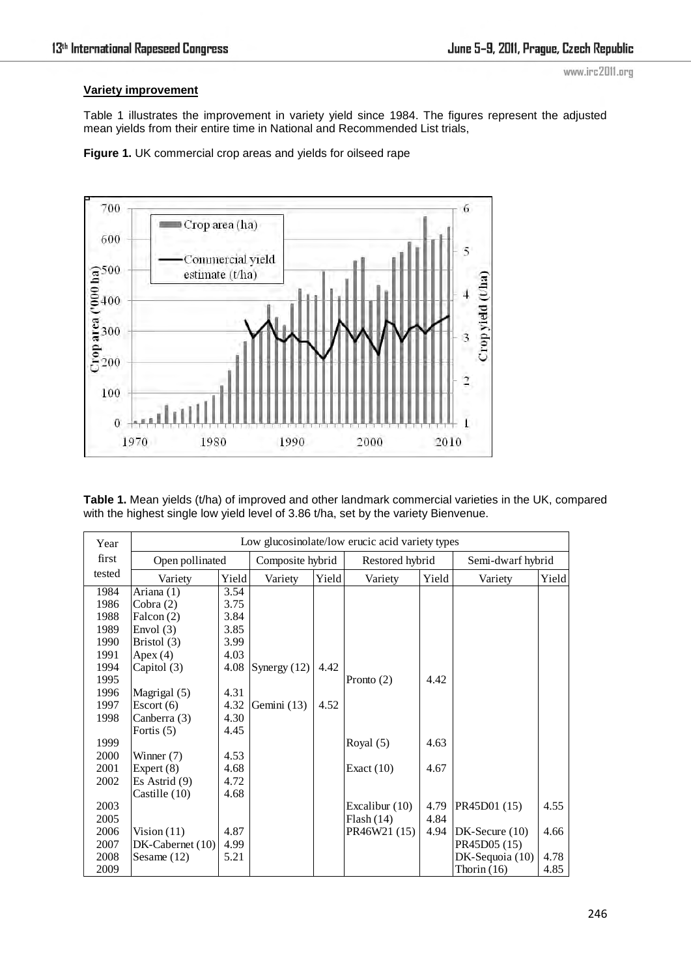## **Variety improvement**

www.irc2011.org

Table 1 illustrates the improvement in variety yield since 1984. The figures represent the adjusted mean yields from their entire time in National and Recommended List trials,

**Figure 1.** UK commercial crop areas and yields for oilseed rape



**Table 1.** Mean yields (t/ha) of improved and other landmark commercial varieties in the UK, compared with the highest single low yield level of 3.86 t/ha, set by the variety Bienvenue.

| Year   | Low glucosinolate/low erucic acid variety types |       |                  |       |                 |       |                   |       |
|--------|-------------------------------------------------|-------|------------------|-------|-----------------|-------|-------------------|-------|
| first  | Open pollinated                                 |       | Composite hybrid |       | Restored hybrid |       | Semi-dwarf hybrid |       |
| tested | Variety                                         | Yield | Variety          | Yield | Variety         | Yield | Variety           | Yield |
| 1984   | Ariana (1)                                      | 3.54  |                  |       |                 |       |                   |       |
| 1986   | Cobra $(2)$                                     | 3.75  |                  |       |                 |       |                   |       |
| 1988   | Falcon (2)                                      | 3.84  |                  |       |                 |       |                   |       |
| 1989   | Envol $(3)$                                     | 3.85  |                  |       |                 |       |                   |       |
| 1990   | Bristol (3)                                     | 3.99  |                  |       |                 |       |                   |       |
| 1991   | Apex $(4)$                                      | 4.03  |                  |       |                 |       |                   |       |
| 1994   | Capitol (3)                                     | 4.08  | Synergy $(12)$   | 4.42  |                 |       |                   |       |
| 1995   |                                                 |       |                  |       | Pronto $(2)$    | 4.42  |                   |       |
| 1996   | Magrigal (5)                                    | 4.31  |                  |       |                 |       |                   |       |
| 1997   | Escort(6)                                       | 4.32  | Gemini (13)      | 4.52  |                 |       |                   |       |
| 1998   | Canberra (3)                                    | 4.30  |                  |       |                 |       |                   |       |
|        | Fortis $(5)$                                    | 4.45  |                  |       |                 |       |                   |       |
| 1999   |                                                 |       |                  |       | Royal $(5)$     | 4.63  |                   |       |
| 2000   | Winner (7)                                      | 4.53  |                  |       |                 |       |                   |       |
| 2001   | Expert (8)                                      | 4.68  |                  |       | Exact $(10)$    | 4.67  |                   |       |
| 2002   | Es Astrid $(9)$                                 | 4.72  |                  |       |                 |       |                   |       |
|        | Castille (10)                                   | 4.68  |                  |       |                 |       |                   |       |
| 2003   |                                                 |       |                  |       | Excalibur (10)  | 4.79  | PR45D01 (15)      | 4.55  |
| 2005   |                                                 |       |                  |       | Plash(14)       | 4.84  |                   |       |
| 2006   | Vision $(11)$                                   | 4.87  |                  |       | PR46W21 (15)    | 4.94  | $DK-Secure(10)$   | 4.66  |
| 2007   | $DK-Cabernet(10)$                               | 4.99  |                  |       |                 |       | PR45D05 (15)      |       |
| 2008   | Sesame $(12)$                                   | 5.21  |                  |       |                 |       | $DK-Sequoia(10)$  | 4.78  |
| 2009   |                                                 |       |                  |       |                 |       | Thorin $(16)$     | 4.85  |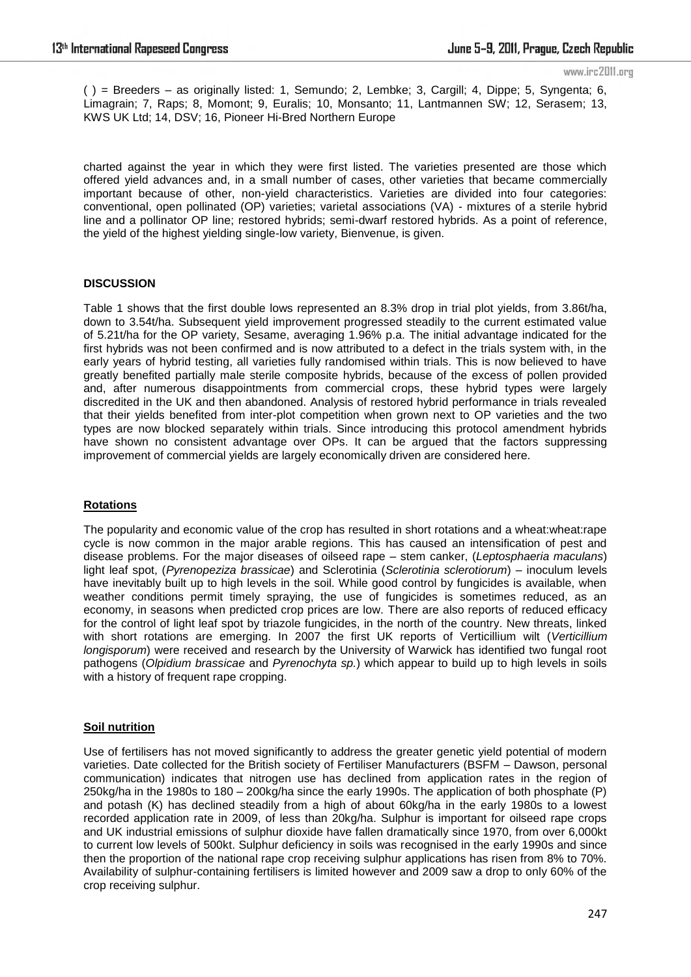www.irc2011.org

( ) = Breeders – as originally listed: 1, Semundo; 2, Lembke; 3, Cargill; 4, Dippe; 5, Syngenta; 6, Limagrain; 7, Raps; 8, Momont; 9, Euralis; 10, Monsanto; 11, Lantmannen SW; 12, Serasem; 13, KWS UK Ltd; 14, DSV; 16, Pioneer Hi-Bred Northern Europe

charted against the year in which they were first listed. The varieties presented are those which offered yield advances and, in a small number of cases, other varieties that became commercially important because of other, non-yield characteristics. Varieties are divided into four categories: conventional, open pollinated (OP) varieties; varietal associations (VA) - mixtures of a sterile hybrid line and a pollinator OP line; restored hybrids; semi-dwarf restored hybrids. As a point of reference, the yield of the highest yielding single-low variety, Bienvenue, is given.

### **DISCUSSION**

Table 1 shows that the first double lows represented an 8.3% drop in trial plot yields, from 3.86t/ha, down to 3.54t/ha. Subsequent yield improvement progressed steadily to the current estimated value of 5.21t/ha for the OP variety, Sesame, averaging 1.96% p.a. The initial advantage indicated for the first hybrids was not been confirmed and is now attributed to a defect in the trials system with, in the early years of hybrid testing, all varieties fully randomised within trials. This is now believed to have greatly benefited partially male sterile composite hybrids, because of the excess of pollen provided and, after numerous disappointments from commercial crops, these hybrid types were largely discredited in the UK and then abandoned. Analysis of restored hybrid performance in trials revealed that their yields benefited from inter-plot competition when grown next to OP varieties and the two types are now blocked separately within trials. Since introducing this protocol amendment hybrids have shown no consistent advantage over OPs. It can be argued that the factors suppressing improvement of commercial yields are largely economically driven are considered here.

### **Rotations**

The popularity and economic value of the crop has resulted in short rotations and a wheat:wheat:rape cycle is now common in the major arable regions. This has caused an intensification of pest and disease problems. For the major diseases of oilseed rape – stem canker, (*Leptosphaeria maculans*) light leaf spot, (*Pyrenopeziza brassicae*) and Sclerotinia (*Sclerotinia sclerotiorum*) – inoculum levels have inevitably built up to high levels in the soil. While good control by fungicides is available, when weather conditions permit timely spraying, the use of fungicides is sometimes reduced, as an economy, in seasons when predicted crop prices are low. There are also reports of reduced efficacy for the control of light leaf spot by triazole fungicides, in the north of the country. New threats, linked with short rotations are emerging. In 2007 the first UK reports of Verticillium wilt (*Verticillium longisporum*) were received and research by the University of Warwick has identified two fungal root pathogens (*Olpidium brassicae* and *Pyrenochyta sp.*) which appear to build up to high levels in soils with a history of frequent rape cropping.

### **Soil nutrition**

Use of fertilisers has not moved significantly to address the greater genetic yield potential of modern varieties. Date collected for the British society of Fertiliser Manufacturers (BSFM – Dawson, personal communication) indicates that nitrogen use has declined from application rates in the region of 250kg/ha in the 1980s to 180 – 200kg/ha since the early 1990s. The application of both phosphate (P) and potash (K) has declined steadily from a high of about 60kg/ha in the early 1980s to a lowest recorded application rate in 2009, of less than 20kg/ha. Sulphur is important for oilseed rape crops and UK industrial emissions of sulphur dioxide have fallen dramatically since 1970, from over 6,000kt to current low levels of 500kt. Sulphur deficiency in soils was recognised in the early 1990s and since then the proportion of the national rape crop receiving sulphur applications has risen from 8% to 70%. Availability of sulphur-containing fertilisers is limited however and 2009 saw a drop to only 60% of the crop receiving sulphur.